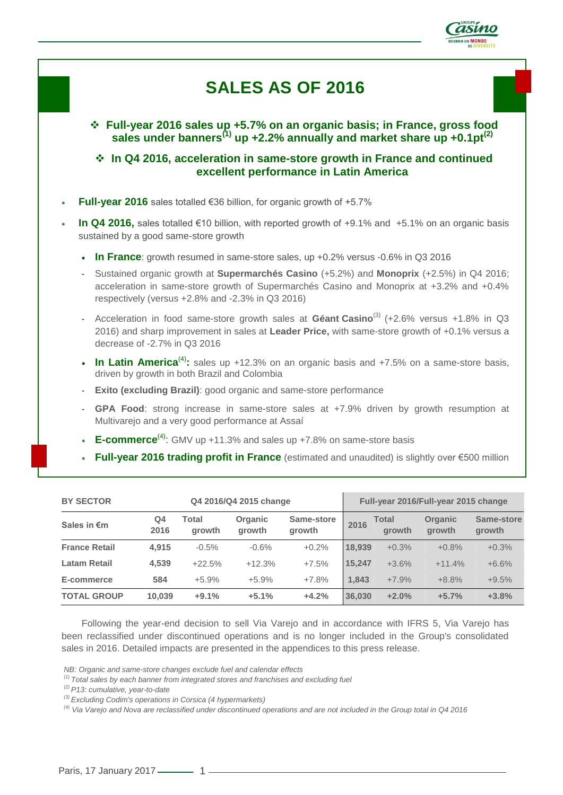

# **SALES AS OF 2016**

 **Full-year 2016 sales up +5.7% on an organic basis; in France, gross food sales under banners(1) up +2.2% annually and market share up +0.1pt(2)**

 **In Q4 2016, acceleration in same-store growth in France and continued excellent performance in Latin America** 

- **Full-year 2016** sales totalled €36 billion, for organic growth of +5.7%
- **In Q4 2016,** sales totalled €10 billion, with reported growth of +9.1% and +5.1% on an organic basis sustained by a good same-store growth
	- **In France**: growth resumed in same-store sales, up +0.2% versus -0.6% in Q3 2016
	- Sustained organic growth at **Supermarchés Casino** (+5.2%) and **Monoprix** (+2.5%) in Q4 2016; acceleration in same-store growth of Supermarchés Casino and Monoprix at +3.2% and +0.4% respectively (versus +2.8% and -2.3% in Q3 2016)
	- Acceleration in food same-store growth sales at **Géant Casino**<sup>(3)</sup> (+2.6% versus +1.8% in Q3 2016) and sharp improvement in sales at **Leader Price,** with same-store growth of +0.1% versus a decrease of -2.7% in Q3 2016
	- In Latin America<sup>(4)</sup>: sales up +12.3% on an organic basis and +7.5% on a same-store basis, driven by growth in both Brazil and Colombia
	- **Exito (excluding Brazil)**: good organic and same-store performance
	- **GPA Food**: strong increase in same-store sales at +7.9% driven by growth resumption at Multivarejo and a very good performance at Assaí
	- **E-commerce**<sup>(4)</sup>: GMV up +11.3% and sales up +7.8% on same-store basis
	- **Full-year 2016 trading profit in France** (estimated and unaudited) is slightly over €500 million

| <b>BY SECTOR</b>     | Q4 2016/Q4 2015 change |                 |                          |                      |        |                        | Full-year 2016/Full-year 2015 change |                      |
|----------------------|------------------------|-----------------|--------------------------|----------------------|--------|------------------------|--------------------------------------|----------------------|
| Sales in €m          | Q4<br>2016             | Total<br>growth | <b>Organic</b><br>growth | Same-store<br>growth | 2016   | Total<br><b>arowth</b> | <b>Organic</b><br>growth             | Same-store<br>growth |
| <b>France Retail</b> | 4.915                  | $-0.5%$         | $-0.6%$                  | $+0.2%$              | 18.939 | $+0.3%$                | $+0.8%$                              | $+0.3%$              |
| <b>Latam Retail</b>  | 4,539                  | $+22.5%$        | $+12.3%$                 | $+7.5%$              | 15.247 | $+3.6%$                | $+11.4%$                             | $+6.6%$              |
| E-commerce           | 584                    | $+5.9%$         | $+5.9%$                  | $+7.8%$              | 1.843  | $+7.9%$                | $+8.8%$                              | $+9.5%$              |
| <b>TOTAL GROUP</b>   | 10,039                 | $+9.1%$         | $+5.1%$                  | $+4.2%$              | 36,030 | $+2.0%$                | $+5.7%$                              | $+3.8%$              |

Following the year-end decision to sell Via Varejo and in accordance with IFRS 5, Via Varejo has been reclassified under discontinued operations and is no longer included in the Group's consolidated sales in 2016. Detailed impacts are presented in the appendices to this press release.

*NB: Organic and same-store changes exclude fuel and calendar effects*

*<sup>(1)</sup> Total sales by each banner from integrated stores and franchises and excluding fuel* 

*<sup>(2)</sup> P13: cumulative, year-to-date*

*<sup>(3)</sup> Excluding Codim's operations in Corsica (4 hypermarkets)*

*<sup>(4)</sup> Via Varejo and Nova are reclassified under discontinued operations and are not included in the Group total in Q4 2016*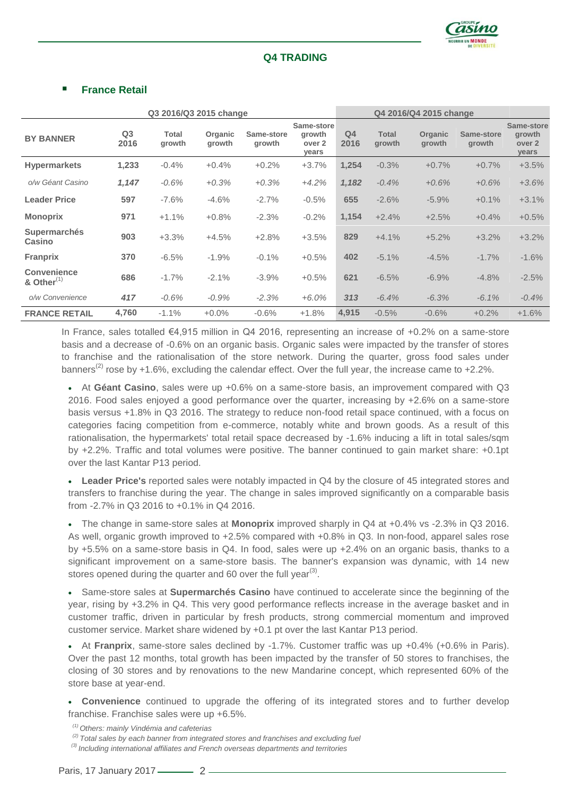

# **Q4 TRADING**

## **France Retail**

| Q3 2016/Q3 2015 change              |                        |                 |                   | Q4 2016/Q4 2015 change |                                         |                        |                        |                   |                      |                                                |
|-------------------------------------|------------------------|-----------------|-------------------|------------------------|-----------------------------------------|------------------------|------------------------|-------------------|----------------------|------------------------------------------------|
| <b>BY BANNER</b>                    | Q <sub>3</sub><br>2016 | Total<br>growth | Organic<br>growth | Same-store<br>growth   | Same-store<br>growth<br>over 2<br>years | Q <sub>4</sub><br>2016 | <b>Total</b><br>growth | Organic<br>growth | Same-store<br>growth | Same-store<br>growth<br>over 2<br><b>years</b> |
| <b>Hypermarkets</b>                 | 1,233                  | $-0.4%$         | $+0.4%$           | $+0.2%$                | $+3.7%$                                 | 1,254                  | $-0.3%$                | $+0.7%$           | $+0.7%$              | $+3.5%$                                        |
| o/w Géant Casino                    | 1,147                  | $-0.6%$         | $+0.3%$           | $+0.3%$                | $+4.2%$                                 | 1,182                  | $-0.4%$                | $+0.6%$           | $+0.6%$              | $+3.6%$                                        |
| <b>Leader Price</b>                 | 597                    | $-7.6%$         | $-4.6%$           | $-2.7%$                | $-0.5%$                                 | 655                    | $-2.6%$                | $-5.9%$           | $+0.1%$              | $+3.1%$                                        |
| <b>Monoprix</b>                     | 971                    | $+1.1%$         | $+0.8%$           | $-2.3%$                | $-0.2%$                                 | 1,154                  | $+2.4%$                | $+2.5%$           | $+0.4%$              | $+0.5%$                                        |
| <b>Supermarchés</b><br>Casino       | 903                    | $+3.3%$         | $+4.5%$           | $+2.8%$                | $+3.5%$                                 | 829                    | $+4.1%$                | $+5.2%$           | $+3.2%$              | $+3.2%$                                        |
| <b>Franprix</b>                     | 370                    | $-6.5%$         | $-1.9%$           | $-0.1%$                | $+0.5%$                                 | 402                    | $-5.1%$                | $-4.5%$           | $-1.7%$              | $-1.6%$                                        |
| <b>Convenience</b><br>& Other $(1)$ | 686                    | $-1.7%$         | $-2.1%$           | $-3.9%$                | $+0.5%$                                 | 621                    | $-6.5%$                | $-6.9%$           | $-4.8%$              | $-2.5%$                                        |
| o/w Convenience                     | 417                    | $-0.6%$         | $-0.9%$           | $-2.3%$                | $+6.0%$                                 | 313                    | $-6.4%$                | $-6.3%$           | $-6.1\%$             | $-0.4%$                                        |
| <b>FRANCE RETAIL</b>                | 4,760                  | $-1.1%$         | $+0.0%$           | $-0.6%$                | $+1.8%$                                 | 4,915                  | $-0.5%$                | $-0.6%$           | $+0.2%$              | $+1.6%$                                        |

In France, sales totalled €4,915 million in Q4 2016, representing an increase of +0.2% on a same-store basis and a decrease of -0.6% on an organic basis. Organic sales were impacted by the transfer of stores to franchise and the rationalisation of the store network. During the quarter, gross food sales under banners<sup>(2)</sup> rose by +1.6%, excluding the calendar effect. Over the full year, the increase came to +2.2%.

 At **Géant Casino**, sales were up +0.6% on a same-store basis, an improvement compared with Q3 2016. Food sales enjoyed a good performance over the quarter, increasing by +2.6% on a same-store basis versus +1.8% in Q3 2016. The strategy to reduce non-food retail space continued, with a focus on categories facing competition from e-commerce, notably white and brown goods. As a result of this rationalisation, the hypermarkets' total retail space decreased by -1.6% inducing a lift in total sales/sqm by +2.2%. Traffic and total volumes were positive. The banner continued to gain market share: +0.1pt over the last Kantar P13 period.

 **Leader Price's** reported sales were notably impacted in Q4 by the closure of 45 integrated stores and transfers to franchise during the year. The change in sales improved significantly on a comparable basis from -2.7% in Q3 2016 to +0.1% in Q4 2016.

 The change in same-store sales at **Monoprix** improved sharply in Q4 at +0.4% vs -2.3% in Q3 2016. As well, organic growth improved to +2.5% compared with +0.8% in Q3. In non-food, apparel sales rose by +5.5% on a same-store basis in Q4. In food, sales were up +2.4% on an organic basis, thanks to a significant improvement on a same-store basis. The banner's expansion was dynamic, with 14 new stores opened during the quarter and 60 over the full year<sup>(3)</sup>.

 Same-store sales at **Supermarchés Casino** have continued to accelerate since the beginning of the year, rising by +3.2% in Q4. This very good performance reflects increase in the average basket and in customer traffic, driven in particular by fresh products, strong commercial momentum and improved customer service. Market share widened by +0.1 pt over the last Kantar P13 period.

 At **Franprix**, same-store sales declined by -1.7%. Customer traffic was up +0.4% (+0.6% in Paris). Over the past 12 months, total growth has been impacted by the transfer of 50 stores to franchises, the closing of 30 stores and by renovations to the new Mandarine concept, which represented 60% of the store base at year-end.

 **Convenience** continued to upgrade the offering of its integrated stores and to further develop franchise. Franchise sales were up +6.5%.

*(1) Others: mainly Vindémia and cafeterias*

*(2) Total sales by each banner from integrated stores and franchises and excluding fuel* 

*(3) Including international affiliates and French overseas departments and territories*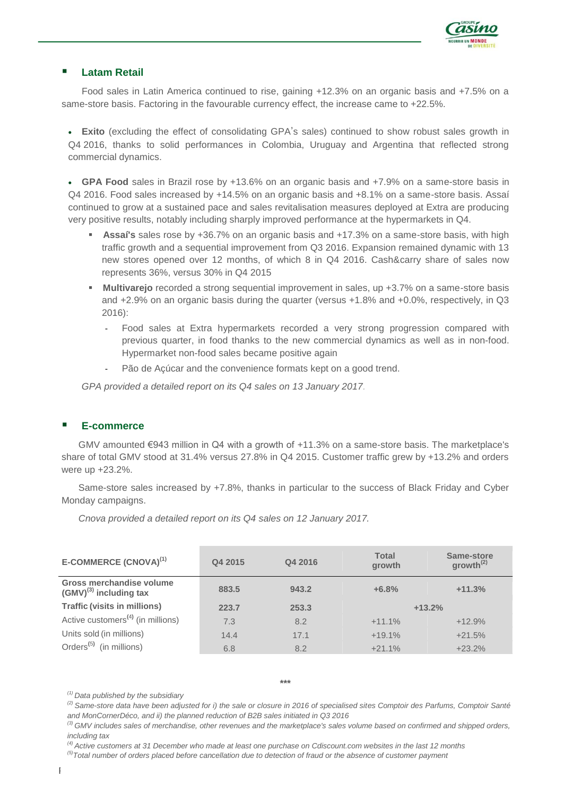

## **Latam Retail**

Food sales in Latin America continued to rise, gaining +12.3% on an organic basis and +7.5% on a same-store basis. Factoring in the favourable currency effect, the increase came to +22.5%.

 **Exito** (excluding the effect of consolidating GPA's sales) continued to show robust sales growth in Q4 2016, thanks to solid performances in Colombia, Uruguay and Argentina that reflected strong commercial dynamics.

 **GPA Food** sales in Brazil rose by +13.6% on an organic basis and +7.9% on a same-store basis in Q4 2016. Food sales increased by +14.5% on an organic basis and +8.1% on a same-store basis. Assaí continued to grow at a sustained pace and sales revitalisation measures deployed at Extra are producing very positive results, notably including sharply improved performance at the hypermarkets in Q4.

- **Assaí's** sales rose by +36.7% on an organic basis and +17.3% on a same-store basis, with high traffic growth and a sequential improvement from Q3 2016. Expansion remained dynamic with 13 new stores opened over 12 months, of which 8 in Q4 2016. Cash&carry share of sales now represents 36%, versus 30% in Q4 2015
- **Multivarejo** recorded a strong sequential improvement in sales, up +3.7% on a same-store basis and +2.9% on an organic basis during the quarter (versus +1.8% and +0.0%, respectively, in Q3 2016):
	- Food sales at Extra hypermarkets recorded a very strong progression compared with previous quarter, in food thanks to the new commercial dynamics as well as in non-food. Hypermarket non-food sales became positive again
	- Pão de Açúcar and the convenience formats kept on a good trend.

*GPA provided a detailed report on its Q4 sales on 13 January 2017.*

#### **E-commerce**

GMV amounted €943 million in Q4 with a growth of +11.3% on a same-store basis. The marketplace's share of total GMV stood at 31.4% versus 27.8% in Q4 2015. Customer traffic grew by +13.2% and orders were up +23.2%.

Same-store sales increased by +7.8%, thanks in particular to the success of Black Friday and Cyber Monday campaigns.

*Cnova provided a detailed report on its Q4 sales on 12 January 2017.*

| E-COMMERCE (CNOVA) <sup>(1)</sup>                       | Q4 2015 | Q4 2016 | <b>Total</b><br>growth | Same-store<br>growth <sup>(2)</sup> |
|---------------------------------------------------------|---------|---------|------------------------|-------------------------------------|
| Gross merchandise volume<br>$(GMV)^{(3)}$ including tax | 883.5   | 943.2   | $+6.8%$                | $+11.3%$                            |
| <b>Traffic (visits in millions)</b>                     | 223.7   | 253.3   |                        | $+13.2%$                            |
| Active customers <sup>(4)</sup> (in millions)           | 7.3     | 8.2     | $+11.1%$               | $+12.9%$                            |
| Units sold (in millions)                                | 14.4    | 17.1    | $+19.1%$               | $+21.5%$                            |
| Orders <sup>(5)</sup> (in millions)                     | 6.8     | 8.2     | $+21.1%$               | $+23.2%$                            |

*(1) Data published by the subsidiary*

*(2) Same-store data have been adjusted for i) the sale or closure in 2016 of specialised sites Comptoir des Parfums, Comptoir Santé and MonCornerDéco, and ii) the planned reduction of B2B sales initiated in Q3 2016*

*(4) Active customers at 31 December who made at least one purchase on Cdiscount.com websites in the last 12 months*

*(5)Total number of orders placed before cancellation due to detection of fraud or the absence of customer payment*

<sup>&</sup>lt;sup>(3)</sup> GMV includes sales of merchandise, other revenues and the marketplace's sales volume based on confirmed and shipped orders, *including tax*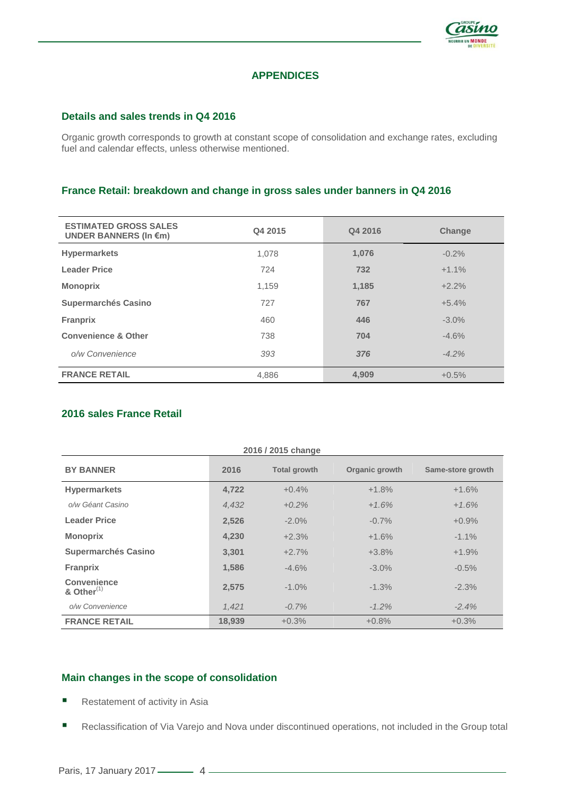

# **APPENDICES**

#### **Details and sales trends in Q4 2016**

Organic growth corresponds to growth at constant scope of consolidation and exchange rates, excluding fuel and calendar effects, unless otherwise mentioned.

#### **France Retail: breakdown and change in gross sales under banners in Q4 2016**

| <b>ESTIMATED GROSS SALES</b><br>UNDER BANNERS (In $\epsilon$ m) | Q4 2015 | Q4 2016 | <b>Change</b> |
|-----------------------------------------------------------------|---------|---------|---------------|
| <b>Hypermarkets</b>                                             | 1.078   | 1,076   | $-0.2%$       |
| <b>Leader Price</b>                                             | 724     | 732     | $+1.1%$       |
| <b>Monoprix</b>                                                 | 1,159   | 1,185   | $+2.2%$       |
| <b>Supermarchés Casino</b>                                      | 727     | 767     | $+5.4%$       |
| <b>Franprix</b>                                                 | 460     | 446     | $-3.0%$       |
| <b>Convenience &amp; Other</b>                                  | 738     | 704     | $-4.6%$       |
| o/w Convenience                                                 | 393     | 376     | $-4.2%$       |
| <b>FRANCE RETAIL</b>                                            | 4,886   | 4,909   | $+0.5%$       |

## **2016 sales France Retail**

| 2016 / 2015 change                     |        |                     |                |                   |  |  |  |
|----------------------------------------|--------|---------------------|----------------|-------------------|--|--|--|
| <b>BY BANNER</b>                       | 2016   | <b>Total growth</b> | Organic growth | Same-store growth |  |  |  |
| <b>Hypermarkets</b>                    | 4,722  | $+0.4%$             | $+1.8%$        | $+1.6%$           |  |  |  |
| o/w Géant Casino                       | 4.432  | $+0.2%$             | $+1.6%$        | $+1.6%$           |  |  |  |
| <b>Leader Price</b>                    | 2,526  | $-2.0\%$            | $-0.7\%$       | $+0.9%$           |  |  |  |
| <b>Monoprix</b>                        | 4,230  | $+2.3%$             | $+1.6%$        | $-1.1\%$          |  |  |  |
| <b>Supermarchés Casino</b>             | 3.301  | $+2.7%$             | $+3.8%$        | $+1.9%$           |  |  |  |
| <b>Franprix</b>                        | 1,586  | $-4.6%$             | $-3.0\%$       | $-0.5%$           |  |  |  |
| <b>Convenience</b><br>& Other $^{(1)}$ | 2,575  | $-1.0%$             | $-1.3%$        | $-2.3%$           |  |  |  |
| o/w Convenience                        | 1,421  | $-0.7%$             | $-1.2%$        | $-2.4%$           |  |  |  |
| <b>FRANCE RETAIL</b>                   | 18.939 | $+0.3%$             | $+0.8%$        | $+0.3%$           |  |  |  |

# **Main changes in the scope of consolidation**

- Restatement of activity in Asia
- Reclassification of Via Varejo and Nova under discontinued operations, not included in the Group total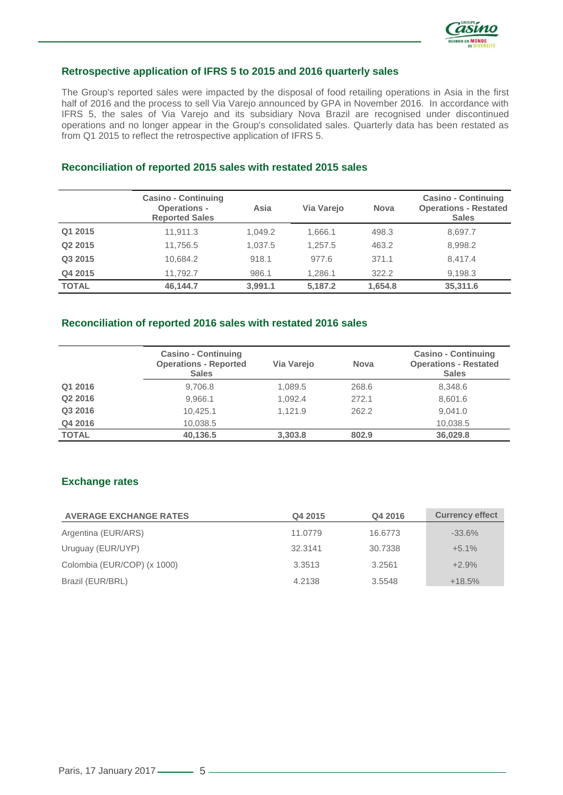

#### **Retrospective application of IFRS 5 to 2015 and 2016 quarterly sales**

The Group's reported sales were impacted by the disposal of food retailing operations in Asia in the first half of 2016 and the process to sell Via Varejo announced by GPA in November 2016. In accordance with IFRS 5, the sales of Via Varejo and its subsidiary Nova Brazil are recognised under discontinued operations and no longer appear in the Group's consolidated sales. Quarterly data has been restated as from Q1 2015 to reflect the retrospective application of IFRS 5.

## **Reconciliation of reported 2015 sales with restated 2015 sales**

|              | <b>Casino - Continuing</b><br><b>Operations -</b><br><b>Reported Sales</b> | Asia    | Via Varejo | <b>Nova</b> | <b>Casino - Continuing</b><br><b>Operations - Restated</b><br><b>Sales</b> |
|--------------|----------------------------------------------------------------------------|---------|------------|-------------|----------------------------------------------------------------------------|
| Q1 2015      | 11.911.3                                                                   | 1.049.2 | 1.666.1    | 498.3       | 8,697.7                                                                    |
| Q2 2015      | 11.756.5                                                                   | 1.037.5 | 1.257.5    | 463.2       | 8,998.2                                                                    |
| Q3 2015      | 10,684.2                                                                   | 918.1   | 977.6      | 371.1       | 8,417.4                                                                    |
| Q4 2015      | 11.792.7                                                                   | 986.1   | 1.286.1    | 322.2       | 9,198.3                                                                    |
| <b>TOTAL</b> | 46,144.7                                                                   | 3,991.1 | 5,187.2    | 1,654.8     | 35,311.6                                                                   |

#### **Reconciliation of reported 2016 sales with restated 2016 sales**

|              | <b>Casino - Continuing</b><br><b>Operations - Reported</b><br><b>Sales</b> | Via Varejo | <b>Nova</b> | <b>Casino - Continuing</b><br><b>Operations - Restated</b><br><b>Sales</b> |
|--------------|----------------------------------------------------------------------------|------------|-------------|----------------------------------------------------------------------------|
| Q1 2016      | 9,706.8                                                                    | 1,089.5    | 268.6       | 8,348.6                                                                    |
| Q2 2016      | 9.966.1                                                                    | 1,092.4    | 272.1       | 8,601.6                                                                    |
| Q3 2016      | 10.425.1                                                                   | 1.121.9    | 262.2       | 9.041.0                                                                    |
| Q4 2016      | 10.038.5                                                                   |            |             | 10,038.5                                                                   |
| <b>TOTAL</b> | 40,136.5                                                                   | 3.303.8    | 802.9       | 36,029.8                                                                   |

## **Exchange rates**

| <b>AVERAGE EXCHANGE RATES</b> | Q4 2015 | Q4 2016 | <b>Currency effect</b> |
|-------------------------------|---------|---------|------------------------|
| Argentina (EUR/ARS)           | 11.0779 | 16.6773 | $-33.6\%$              |
| Uruguay (EUR/UYP)             | 32.3141 | 30.7338 | $+5.1%$                |
| Colombia (EUR/COP) (x 1000)   | 3.3513  | 3.2561  | $+2.9%$                |
| Brazil (EUR/BRL)              | 4.2138  | 3.5548  | $+18.5%$               |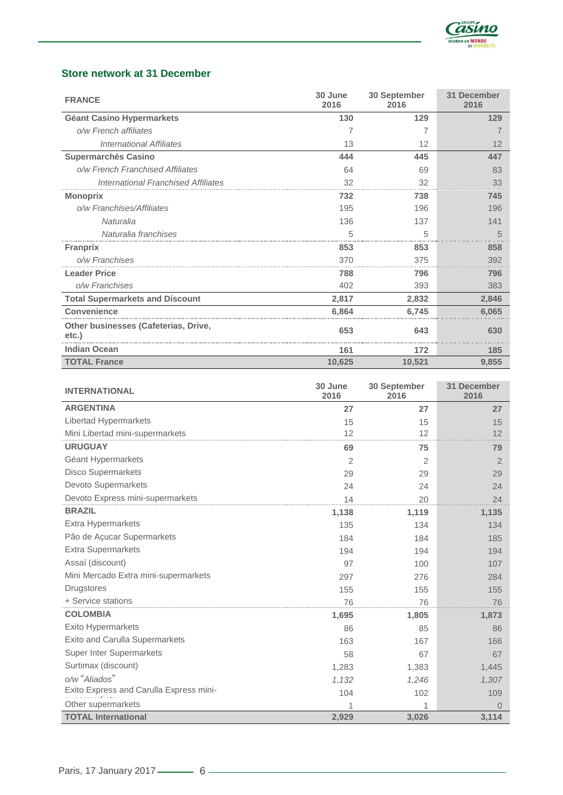

# **Store network at 31 December**

| <b>FRANCE</b>                                 | 30 June<br>2016 | 30 September<br>2016 | 31 December<br>2016 |
|-----------------------------------------------|-----------------|----------------------|---------------------|
| <b>Géant Casino Hypermarkets</b>              | 130             | 129                  | 129                 |
| o/w French affiliates                         | 7               |                      |                     |
| <b>International Affiliates</b>               | 13              | 12                   | 12                  |
| <b>Supermarchés Casino</b>                    | 444             | 445                  | 447                 |
| o/w French Franchised Affiliates              | 64              | 69                   | 83                  |
| International Franchised Affiliates           | 32              | 32                   | 33                  |
| <b>Monoprix</b>                               | 732             | 738                  | 745                 |
| o/w Franchises/Affiliates                     | 195             | 196                  | 196                 |
| Naturalia                                     | 136             | 137                  | 141                 |
| Naturalia franchises                          | 5               | 5                    | 5                   |
| <b>Franprix</b>                               | 853             | 853                  | 858                 |
| o/w Franchises                                | 370             | 375                  | 392                 |
| <b>Leader Price</b>                           | 788             | 796                  | 796                 |
| o/w Franchises                                | 402             | 393                  | 383                 |
| <b>Total Supermarkets and Discount</b>        | 2,817           | 2,832                | 2,846               |
| Convenience                                   | 6.864           | 6,745                | 6,065               |
| Other businesses (Cafeterias, Drive,<br>etc.) | 653             | 643                  | 630                 |
| <b>Indian Ocean</b>                           | 161             | 172                  | 185                 |
| <b>TOTAL France</b>                           | 10,625          | 10,521               | 9,855               |

| <b>INTERNATIONAL</b>                    | 30 June<br>2016 | 30 September<br>2016 | 31 December<br>2016 |
|-----------------------------------------|-----------------|----------------------|---------------------|
| <b>ARGENTINA</b>                        | 27              | 27                   | 27                  |
| Libertad Hypermarkets                   | 15              | 15                   | 15                  |
| Mini Libertad mini-supermarkets         | 12              | 12                   | 12                  |
| <b>URUGUAY</b>                          | 69              | 75                   | 79                  |
| Géant Hypermarkets                      | $\overline{2}$  | $\overline{2}$       | 2                   |
| <b>Disco Supermarkets</b>               | 29              | 29                   | 29                  |
| Devoto Supermarkets                     | 24              | 24                   | 24                  |
| Devoto Express mini-supermarkets        | 14              | 20                   | 24                  |
| <b>BRAZIL</b>                           | 1,138           | 1,119                | 1,135               |
| Extra Hypermarkets                      | 135             | 134                  | 134                 |
| Pão de Açucar Supermarkets              | 184             | 184                  | 185                 |
| <b>Extra Supermarkets</b>               | 194             | 194                  | 194                 |
| Assaí (discount)                        | 97              | 100                  | 107                 |
| Mini Mercado Extra mini-supermarkets    | 297             | 276                  | 284                 |
| <b>Drugstores</b>                       | 155             | 155                  | 155                 |
| + Service stations                      | 76              | 76                   | 76                  |
| <b>COLOMBIA</b>                         | 1,695           | 1,805                | 1,873               |
| <b>Exito Hypermarkets</b>               | 86              | 85                   | 86                  |
| <b>Exito and Carulla Supermarkets</b>   | 163             | 167                  | 166                 |
| <b>Super Inter Supermarkets</b>         | 58              | 67                   | 67                  |
| Surtimax (discount)                     | 1,283           | 1,383                | 1,445               |
| o/w "Aliados"                           | 1,132           | 1,246                | 1,307               |
| Exito Express and Carulla Express mini- | 104             | 102                  | 109                 |
| Other supermarkets                      |                 |                      | $\Omega$            |
| <b>TOTAL International</b>              | 2,929           | 3,026                | 3,114               |